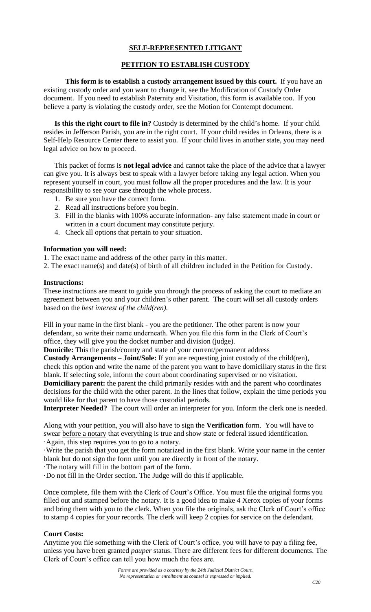# **SELF-REPRESENTED LITIGANT**

# **PETITION TO ESTABLISH CUSTODY**

**This form is to establish a custody arrangement issued by this court.** If you have an existing custody order and you want to change it, see the Modification of Custody Order document. If you need to establish Paternity and Visitation, this form is available too. If you believe a party is violating the custody order, see the Motion for Contempt document.

**Is this the right court to file in?** Custody is determined by the child's home. If your child resides in Jefferson Parish, you are in the right court. If your child resides in Orleans, there is a Self-Help Resource Center there to assist you. If your child lives in another state, you may need legal advice on how to proceed.

This packet of forms is **not legal advice** and cannot take the place of the advice that a lawyer can give you. It is always best to speak with a lawyer before taking any legal action. When you represent yourself in court, you must follow all the proper procedures and the law. It is your responsibility to see your case through the whole process.

- 1. Be sure you have the correct form.
- 2. Read all instructions before you begin.
- 3. Fill in the blanks with 100% accurate information- any false statement made in court or written in a court document may constitute perjury.
- 4. Check all options that pertain to your situation.

#### **Information you will need:**

1. The exact name and address of the other party in this matter.

2. The exact name(s) and date(s) of birth of all children included in the Petition for Custody.

#### **Instructions:**

These instructions are meant to guide you through the process of asking the court to mediate an agreement between you and your children's other parent. The court will set all custody orders based on the *best interest of the child(ren).*

Fill in your name in the first blank - you are the petitioner. The other parent is now your defendant, so write their name underneath. When you file this form in the Clerk of Court's office, they will give you the docket number and division (judge).

**Domicile:** This the parish/county and state of your current/permanent address

**Custody Arrangements – Joint/Sole:** If you are requesting joint custody of the child(ren), check this option and write the name of the parent you want to have domiciliary status in the first blank. If selecting sole, inform the court about coordinating supervised or no visitation.

**Domiciliary parent:** the parent the child primarily resides with and the parent who coordinates decisions for the child with the other parent. In the lines that follow, explain the time periods you would like for that parent to have those custodial periods.

**Interpreter Needed?** The court will order an interpreter for you. Inform the clerk one is needed.

Along with your petition, you will also have to sign the **Verification** form. You will have to swear before a notary that everything is true and show state or federal issued identification. ·Again, this step requires you to go to a notary.

·Write the parish that you get the form notarized in the first blank. Write your name in the center blank but do not sign the form until you are directly in front of the notary.

·The notary will fill in the bottom part of the form.

·Do not fill in the Order section. The Judge will do this if applicable.

Once complete, file them with the Clerk of Court's Office. You must file the original forms you filled out and stamped before the notary. It is a good idea to make 4 Xerox copies of your forms and bring them with you to the clerk. When you file the originals, ask the Clerk of Court's office to stamp 4 copies for your records. The clerk will keep 2 copies for service on the defendant.

# **Court Costs:**

Anytime you file something with the Clerk of Court's office, you will have to pay a filing fee, unless you have been granted *pauper* status. There are different fees for different documents. The Clerk of Court's office can tell you how much the fees are.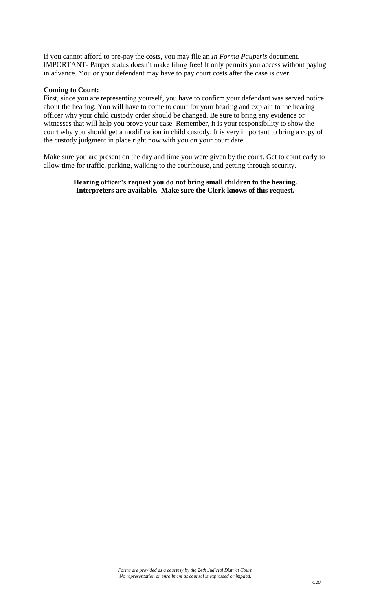If you cannot afford to pre-pay the costs, you may file an *In Forma Pauperis* document. IMPORTANT- Pauper status doesn't make filing free! It only permits you access without paying in advance. You or your defendant may have to pay court costs after the case is over.

#### **Coming to Court:**

First, since you are representing yourself, you have to confirm your defendant was served notice about the hearing. You will have to come to court for your hearing and explain to the hearing officer why your child custody order should be changed. Be sure to bring any evidence or witnesses that will help you prove your case. Remember, it is your responsibility to show the court why you should get a modification in child custody. It is very important to bring a copy of the custody judgment in place right now with you on your court date.

Make sure you are present on the day and time you were given by the court. Get to court early to allow time for traffic, parking, walking to the courthouse, and getting through security.

> **Hearing officer's request you do not bring small children to the hearing. Interpreters are available. Make sure the Clerk knows of this request.**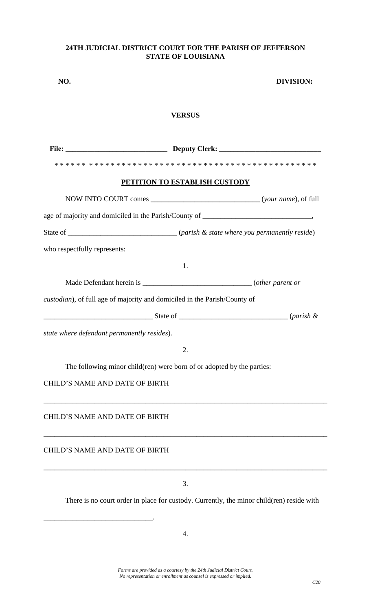# **24TH JUDICIAL DISTRICT COURT FOR THE PARISH OF JEFFERSON STATE OF LOUISIANA**

| NO.                                         |                                                                                           | DIVISION:               |  |  |
|---------------------------------------------|-------------------------------------------------------------------------------------------|-------------------------|--|--|
| <b>VERSUS</b>                               |                                                                                           |                         |  |  |
|                                             |                                                                                           |                         |  |  |
|                                             |                                                                                           |                         |  |  |
|                                             | <u>PETITION TO ESTABLISH CUSTODY</u>                                                      |                         |  |  |
|                                             |                                                                                           |                         |  |  |
|                                             |                                                                                           |                         |  |  |
|                                             | State of _________________________________(parish & state where you permanently reside)   |                         |  |  |
| who respectfully represents:                |                                                                                           |                         |  |  |
|                                             | 1.                                                                                        |                         |  |  |
|                                             |                                                                                           |                         |  |  |
|                                             | custodian), of full age of majority and domiciled in the Parish/County of                 |                         |  |  |
|                                             |                                                                                           | $State of$ $(parish \&$ |  |  |
| state where defendant permanently resides). |                                                                                           |                         |  |  |
|                                             | 2.                                                                                        |                         |  |  |
|                                             | The following minor child(ren) were born of or adopted by the parties:                    |                         |  |  |
| <b>CHILD'S NAME AND DATE OF BIRTH</b>       |                                                                                           |                         |  |  |
|                                             |                                                                                           |                         |  |  |
| <b>CHILD'S NAME AND DATE OF BIRTH</b>       |                                                                                           |                         |  |  |
|                                             |                                                                                           |                         |  |  |
| <b>CHILD'S NAME AND DATE OF BIRTH</b>       |                                                                                           |                         |  |  |
|                                             |                                                                                           |                         |  |  |
|                                             | 3.                                                                                        |                         |  |  |
|                                             | There is no court order in place for custody. Currently, the minor child(ren) reside with |                         |  |  |

\_\_\_\_\_\_\_\_\_\_\_\_\_\_\_\_\_\_\_\_\_\_\_\_\_\_\_\_\_\_.

*Forms are provided as a courtesy by the 24th Judicial District Court. No representation or enrollment as counsel is expressed or implied.*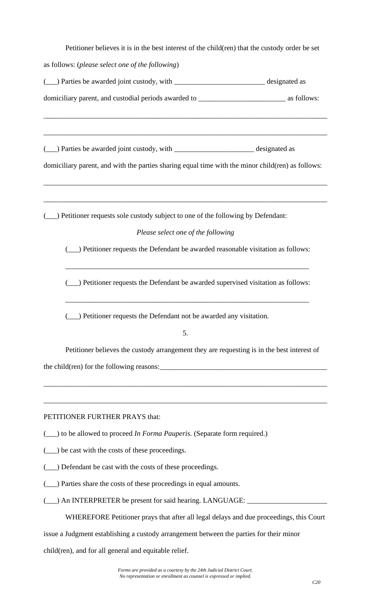| Petitioner believes it is in the best interest of the child(ren) that the custody order be set    |  |  |  |  |
|---------------------------------------------------------------------------------------------------|--|--|--|--|
| as follows: (please select one of the following)                                                  |  |  |  |  |
| (__) Parties be awarded joint custody, with _____________________________ designated as           |  |  |  |  |
|                                                                                                   |  |  |  |  |
| ( ) Parties be awarded joint custody, with _______________________________ designated as          |  |  |  |  |
| domiciliary parent, and with the parties sharing equal time with the minor child(ren) as follows: |  |  |  |  |
| ) Petitioner requests sole custody subject to one of the following by Defendant:                  |  |  |  |  |
| Please select one of the following                                                                |  |  |  |  |
| (__) Petitioner requests the Defendant be awarded reasonable visitation as follows:               |  |  |  |  |
| _) Petitioner requests the Defendant be awarded supervised visitation as follows:                 |  |  |  |  |
| ) Petitioner requests the Defendant not be awarded any visitation.<br>5.                          |  |  |  |  |
| Petitioner believes the custody arrangement they are requesting is in the best interest of        |  |  |  |  |
| the child(ren) for the following reasons:                                                         |  |  |  |  |
| PETITIONER FURTHER PRAYS that:                                                                    |  |  |  |  |
| (__) to be allowed to proceed <i>In Forma Pauperis</i> . (Separate form required.)                |  |  |  |  |
| be cast with the costs of these proceedings.                                                      |  |  |  |  |
| _) Defendant be cast with the costs of these proceedings.                                         |  |  |  |  |
| ) Parties share the costs of these proceedings in equal amounts.                                  |  |  |  |  |
| _) An INTERPRETER be present for said hearing. LANGUAGE: ________                                 |  |  |  |  |
| WHEREFORE Petitioner prays that after all legal delays and due proceedings, this Court            |  |  |  |  |
| issue a Judgment establishing a custody arrangement between the parties for their minor           |  |  |  |  |

child(ren), and for all general and equitable relief.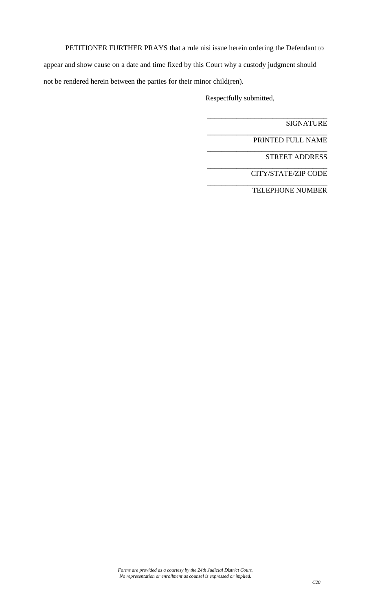PETITIONER FURTHER PRAYS that a rule nisi issue herein ordering the Defendant to appear and show cause on a date and time fixed by this Court why a custody judgment should not be rendered herein between the parties for their minor child(ren).

Respectfully submitted,

SIGNATURE

PRINTED FULL NAME

\_\_\_\_\_\_\_\_\_\_\_\_\_\_\_\_\_\_\_\_\_\_\_\_\_\_\_\_\_\_\_\_\_

\_\_\_\_\_\_\_\_\_\_\_\_\_\_\_\_\_\_\_\_\_\_\_\_\_\_\_\_\_\_\_\_\_

\_\_\_\_\_\_\_\_\_\_\_\_\_\_\_\_\_\_\_\_\_\_\_\_\_\_\_\_\_\_\_\_\_

\_\_\_\_\_\_\_\_\_\_\_\_\_\_\_\_\_\_\_\_\_\_\_\_\_\_\_\_\_\_\_\_\_

\_\_\_\_\_\_\_\_\_\_\_\_\_\_\_\_\_\_\_\_\_\_\_\_\_\_\_\_\_\_\_\_\_

STREET ADDRESS

CITY/STATE/ZIP CODE

TELEPHONE NUMBER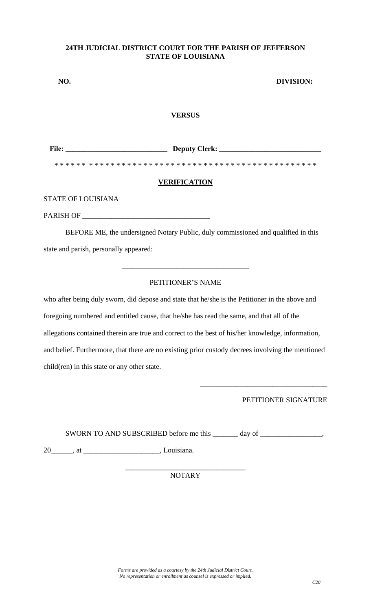### **24TH JUDICIAL DISTRICT COURT FOR THE PARISH OF JEFFERSON STATE OF LOUISIANA**

| NO.          | <b>DIVISION:</b>    |
|--------------|---------------------|
|              | <b>VERSUS</b>       |
| <b>File:</b> |                     |
|              | <b>VERIFICATION</b> |

STATE OF LOUISIANA

PARISH OF \_\_\_\_\_\_\_\_\_\_\_\_\_\_\_\_\_\_\_\_\_\_\_\_\_\_\_\_\_\_\_\_\_\_\_

BEFORE ME, the undersigned Notary Public, duly commissioned and qualified in this state and parish, personally appeared:

# PETITIONER'S NAME

\_\_\_\_\_\_\_\_\_\_\_\_\_\_\_\_\_\_\_\_\_\_\_\_\_\_\_\_\_\_\_\_\_\_\_

who after being duly sworn, did depose and state that he/she is the Petitioner in the above and foregoing numbered and entitled cause, that he/she has read the same, and that all of the allegations contained therein are true and correct to the best of his/her knowledge, information, and belief. Furthermore, that there are no existing prior custody decrees involving the mentioned child(ren) in this state or any other state.

PETITIONER SIGNATURE

\_\_\_\_\_\_\_\_\_\_\_\_\_\_\_\_\_\_\_\_\_\_\_\_\_\_\_\_\_\_\_\_\_\_\_

SWORN TO AND SUBSCRIBED before me this \_\_\_\_\_\_\_ day of \_\_\_\_\_\_\_\_\_\_\_\_\_\_\_\_\_,

20\_\_\_\_\_\_, at \_\_\_\_\_\_\_\_\_\_\_\_\_\_\_\_\_\_\_\_\_, Louisiana.

#### \_\_\_\_\_\_\_\_\_\_\_\_\_\_\_\_\_\_\_\_\_\_\_\_\_\_\_\_\_\_\_\_\_ NOTARY